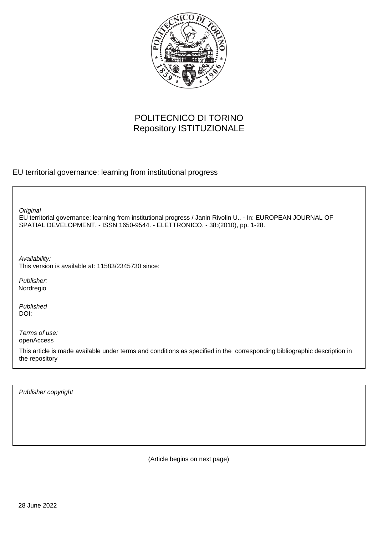

# POLITECNICO DI TORINO Repository ISTITUZIONALE

EU territorial governance: learning from institutional progress

**Original** 

EU territorial governance: learning from institutional progress / Janin Rivolin U.. - In: EUROPEAN JOURNAL OF SPATIAL DEVELOPMENT. - ISSN 1650-9544. - ELETTRONICO. - 38:(2010), pp. 1-28.

Availability: This version is available at: 11583/2345730 since:

Publisher: Nordregio

Published DOI:

Terms of use: openAccess

This article is made available under terms and conditions as specified in the corresponding bibliographic description in the repository

Publisher copyright

(Article begins on next page)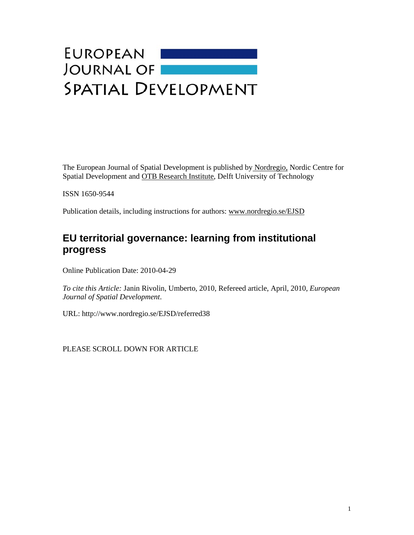# EUROPEAN<br>JOURNAL OF **SPATIAL DEVELOPMENT**

The European Journal of Spatial Development is published by Nordregio, Nordic Centre for Spatial Development and OTB Research Institute, Delft University of Technology

ISSN 1650-9544

Publication details, including instructions for authors: www.nordregio.se/EJSD

# **EU territorial governance: learning from institutional progress**

Online Publication Date: 2010-04-29

*To cite this Article:* Janin Rivolin, Umberto, 2010, Refereed article, April, 2010, *European Journal of Spatial Development*.

URL: http://www.nordregio.se/EJSD/referred38

PLEASE SCROLL DOWN FOR ARTICLE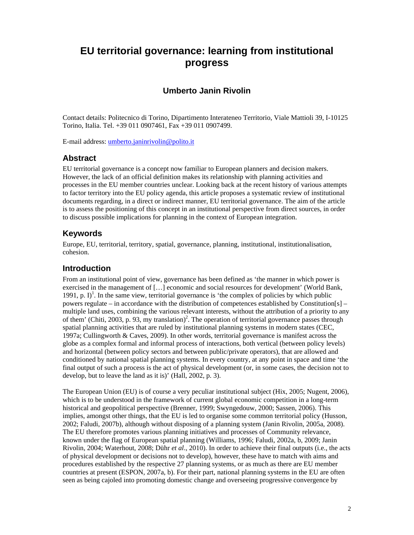# **EU territorial governance: learning from institutional progress**

# **Umberto Janin Rivolin**

Contact details: Politecnico di Torino, Dipartimento Interateneo Territorio, Viale Mattioli 39, I-10125 Torino, Italia. Tel. +39 011 0907461, Fax +39 011 0907499.

E-mail address: umberto.janinrivolin@polito.it

## **Abstract**

EU territorial governance is a concept now familiar to European planners and decision makers. However, the lack of an official definition makes its relationship with planning activities and processes in the EU member countries unclear. Looking back at the recent history of various attempts to factor territory into the EU policy agenda, this article proposes a systematic review of institutional documents regarding, in a direct or indirect manner, EU territorial governance. The aim of the article is to assess the positioning of this concept in an institutional perspective from direct sources, in order to discuss possible implications for planning in the context of European integration.

# **Keywords**

Europe, EU, territorial, territory, spatial, governance, planning, institutional, institutionalisation, cohesion.

## **Introduction**

From an institutional point of view, governance has been defined as 'the manner in which power is exercised in the management of […] economic and social resources for development' (World Bank, 1991, p.  $I$ <sup>1</sup>. In the same view, territorial governance is 'the complex of policies by which public powers regulate – in accordance with the distribution of competences established by Constitution[s] – multiple land uses, combining the various relevant interests, without the attribution of a priority to any of them' (Chiti, 2003, p. 93, my translation)<sup>2</sup>. The operation of territorial governance passes through spatial planning activities that are ruled by institutional planning systems in modern states (CEC, 1997a; Cullingworth & Caves, 2009). In other words, territorial governance is manifest across the globe as a complex formal and informal process of interactions, both vertical (between policy levels) and horizontal (between policy sectors and between public/private operators), that are allowed and conditioned by national spatial planning systems. In every country, at any point in space and time 'the final output of such a process is the act of physical development (or, in some cases, the decision not to develop, but to leave the land as it is)' (Hall, 2002, p. 3).

The European Union (EU) is of course a very peculiar institutional subject (Hix, 2005; Nugent, 2006), which is to be understood in the framework of current global economic competition in a long-term historical and geopolitical perspective (Brenner, 1999; Swyngedouw, 2000; Sassen, 2006). This implies, amongst other things, that the EU is led to organise some common territorial policy (Husson, 2002; Faludi, 2007b), although without disposing of a planning system (Janin Rivolin, 2005a, 2008). The EU therefore promotes various planning initiatives and processes of Community relevance, known under the flag of European spatial planning (Williams, 1996; Faludi, 2002a, b, 2009; Janin Rivolin, 2004; Waterhout, 2008; Dühr *et al*., 2010). In order to achieve their final outputs (i.e., the acts of physical development or decisions not to develop), however, these have to match with aims and procedures established by the respective 27 planning systems, or as much as there are EU member countries at present (ESPON, 2007a, b). For their part, national planning systems in the EU are often seen as being cajoled into promoting domestic change and overseeing progressive convergence by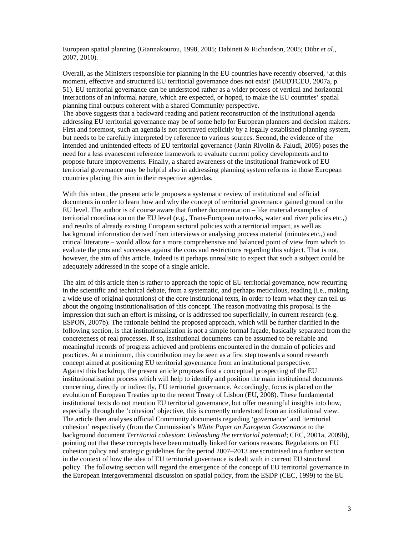European spatial planning (Giannakourou, 1998, 2005; Dabinett & Richardson, 2005; Dühr *et al*., 2007, 2010).

Overall, as the Ministers responsible for planning in the EU countries have recently observed, 'at this moment, effective and structured EU territorial governance does not exist' (MUDTCEU, 2007a, p. 51). EU territorial governance can be understood rather as a wider process of vertical and horizontal interactions of an informal nature, which are expected, or hoped, to make the EU countries' spatial planning final outputs coherent with a shared Community perspective.

The above suggests that a backward reading and patient reconstruction of the institutional agenda addressing EU territorial governance may be of some help for European planners and decision makers. First and foremost, such an agenda is not portrayed explicitly by a legally established planning system, but needs to be carefully interpreted by reference to various sources. Second, the evidence of the intended and unintended effects of EU territorial governance (Janin Rivolin & Faludi, 2005) poses the need for a less evanescent reference framework to evaluate current policy developments and to propose future improvements. Finally, a shared awareness of the institutional framework of EU territorial governance may be helpful also in addressing planning system reforms in those European countries placing this aim in their respective agendas.

With this intent, the present article proposes a systematic review of institutional and official documents in order to learn how and why the concept of territorial governance gained ground on the EU level. The author is of course aware that further documentation – like material examples of territorial coordination on the EU level (e.g., Trans-European networks, water and river policies etc.,) and results of already existing European sectoral policies with a territorial impact, as well as background information derived from interviews or analysing process material (minutes etc.,) and critical literature – would allow for a more comprehensive and balanced point of view from which to evaluate the pros and successes against the cons and restrictions regarding this subject. That is not, however, the aim of this article. Indeed is it perhaps unrealistic to expect that such a subject could be adequately addressed in the scope of a single article.

The aim of this article then is rather to approach the topic of EU territorial governance, now recurring in the scientific and technical debate, from a systematic, and perhaps meticulous, reading (i.e., making a wide use of original quotations) of the core institutional texts, in order to learn what they can tell us about the ongoing institutionalisation of this concept. The reason motivating this proposal is the impression that such an effort is missing, or is addressed too superficially, in current research (e.g. ESPON, 2007b). The rationale behind the proposed approach, which will be further clarified in the following section, is that institutionalisation is not a simple formal façade, basically separated from the concreteness of real processes. If so, institutional documents can be assumed to be reliable and meaningful records of progress achieved and problems encountered in the domain of policies and practices. At a minimum, this contribution may be seen as a first step towards a sound research concept aimed at positioning EU territorial governance from an institutional perspective. Against this backdrop, the present article proposes first a conceptual prospecting of the EU institutionalisation process which will help to identify and position the main institutional documents concerning, directly or indirectly, EU territorial governance. Accordingly, focus is placed on the evolution of European Treaties up to the recent Treaty of Lisbon (EU, 2008). These fundamental institutional texts do not mention EU territorial governance, but offer meaningful insights into how, especially through the 'cohesion' objective, this is currently understood from an institutional view. The article then analyses official Community documents regarding 'governance' and 'territorial cohesion' respectively (from the Commission's *White Paper on European Governance* to the background document *Territorial cohesion: Unleashing the territorial potential*; CEC, 2001a, 2009b), pointing out that these concepts have been mutually linked for various reasons. Regulations on EU cohesion policy and strategic guidelines for the period 2007–2013 are scrutinised in a further section in the context of how the idea of EU territorial governance is dealt with in current EU structural policy. The following section will regard the emergence of the concept of EU territorial governance in the European intergovernmental discussion on spatial policy, from the ESDP (CEC, 1999) to the EU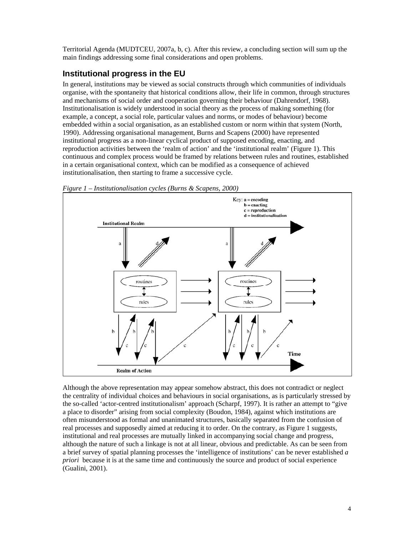Territorial Agenda (MUDTCEU, 2007a, b, c). After this review, a concluding section will sum up the main findings addressing some final considerations and open problems.

# **Institutional progress in the EU**

In general, institutions may be viewed as social constructs through which communities of individuals organise, with the spontaneity that historical conditions allow, their life in common, through structures and mechanisms of social order and cooperation governing their behaviour (Dahrendorf, 1968). Institutionalisation is widely understood in social theory as the process of making something (for example, a concept, a social role, particular values and norms, or modes of behaviour) become embedded within a social organisation, as an established custom or norm within that system (North, 1990). Addressing organisational management, Burns and Scapens (2000) have represented institutional progress as a non-linear cyclical product of supposed encoding, enacting, and reproduction activities between the 'realm of action' and the 'institutional realm' (Figure 1). This continuous and complex process would be framed by relations between rules and routines, established in a certain organisational context, which can be modified as a consequence of achieved institutionalisation, then starting to frame a successive cycle.



*Figure 1 – Institutionalisation cycles (Burns & Scapens, 2000)* 

Although the above representation may appear somehow abstract, this does not contradict or neglect the centrality of individual choices and behaviours in social organisations, as is particularly stressed by the so-called 'actor-centred institutionalism' approach (Scharpf, 1997). It is rather an attempt to "give a place to disorder" arising from social complexity (Boudon, 1984), against which institutions are often misunderstood as formal and unanimated structures, basically separated from the confusion of real processes and supposedly aimed at reducing it to order. On the contrary, as Figure 1 suggests, institutional and real processes are mutually linked in accompanying social change and progress, although the nature of such a linkage is not at all linear, obvious and predictable. As can be seen from a brief survey of spatial planning processes the 'intelligence of institutions' can be never established *a priori* because it is at the same time and continuously the source and product of social experience (Gualini, 2001).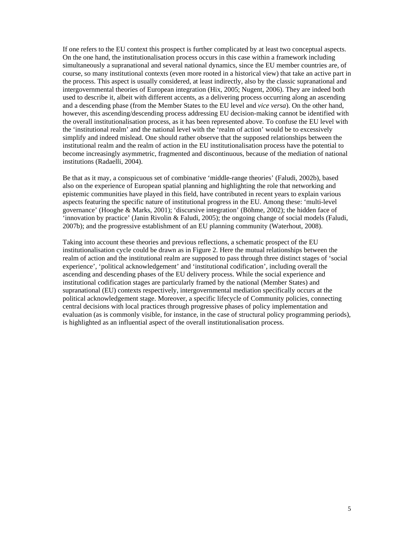If one refers to the EU context this prospect is further complicated by at least two conceptual aspects. On the one hand, the institutionalisation process occurs in this case within a framework including simultaneously a supranational and several national dynamics, since the EU member countries are, of course, so many institutional contexts (even more rooted in a historical view) that take an active part in the process. This aspect is usually considered, at least indirectly, also by the classic supranational and intergovernmental theories of European integration (Hix, 2005; Nugent, 2006). They are indeed both used to describe it, albeit with different accents, as a delivering process occurring along an ascending and a descending phase (from the Member States to the EU level and *vice versa*). On the other hand, however, this ascending/descending process addressing EU decision-making cannot be identified with the overall institutionalisation process, as it has been represented above. To confuse the EU level with the 'institutional realm' and the national level with the 'realm of action' would be to excessively simplify and indeed mislead. One should rather observe that the supposed relationships between the institutional realm and the realm of action in the EU institutionalisation process have the potential to become increasingly asymmetric, fragmented and discontinuous, because of the mediation of national institutions (Radaelli, 2004).

Be that as it may, a conspicuous set of combinative 'middle-range theories' (Faludi, 2002b), based also on the experience of European spatial planning and highlighting the role that networking and epistemic communities have played in this field, have contributed in recent years to explain various aspects featuring the specific nature of institutional progress in the EU. Among these: 'multi-level governance' (Hooghe & Marks, 2001); 'discursive integration' (Böhme, 2002); the hidden face of 'innovation by practice' (Janin Rivolin & Faludi, 2005); the ongoing change of social models (Faludi, 2007b); and the progressive establishment of an EU planning community (Waterhout, 2008).

Taking into account these theories and previous reflections, a schematic prospect of the EU institutionalisation cycle could be drawn as in Figure 2. Here the mutual relationships between the realm of action and the institutional realm are supposed to pass through three distinct stages of 'social experience', 'political acknowledgement' and 'institutional codification', including overall the ascending and descending phases of the EU delivery process. While the social experience and institutional codification stages are particularly framed by the national (Member States) and supranational (EU) contexts respectively, intergovernmental mediation specifically occurs at the political acknowledgement stage. Moreover, a specific lifecycle of Community policies, connecting central decisions with local practices through progressive phases of policy implementation and evaluation (as is commonly visible, for instance, in the case of structural policy programming periods), is highlighted as an influential aspect of the overall institutionalisation process.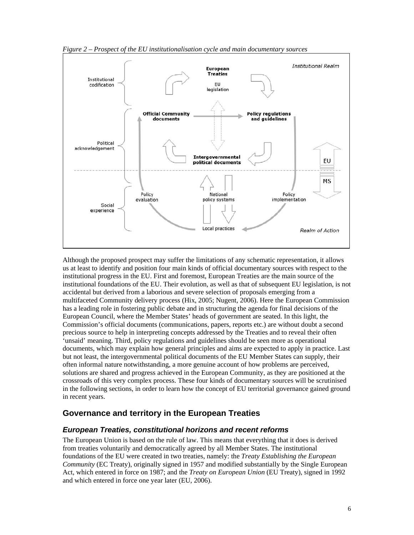

*Figure 2 – Prospect of the EU institutionalisation cycle and main documentary sources* 

Although the proposed prospect may suffer the limitations of any schematic representation, it allows us at least to identify and position four main kinds of official documentary sources with respect to the institutional progress in the EU. First and foremost, European Treaties are the main source of the institutional foundations of the EU. Their evolution, as well as that of subsequent EU legislation, is not accidental but derived from a laborious and severe selection of proposals emerging from a multifaceted Community delivery process (Hix, 2005; Nugent, 2006). Here the European Commission has a leading role in fostering public debate and in structuring the agenda for final decisions of the European Council, where the Member States' heads of government are seated. In this light, the Commission's official documents (communications, papers, reports etc.) are without doubt a second precious source to help in interpreting concepts addressed by the Treaties and to reveal their often 'unsaid' meaning. Third, policy regulations and guidelines should be seen more as operational documents, which may explain how general principles and aims are expected to apply in practice. Last but not least, the intergovernmental political documents of the EU Member States can supply, their often informal nature notwithstanding, a more genuine account of how problems are perceived, solutions are shared and progress achieved in the European Community, as they are positioned at the crossroads of this very complex process. These four kinds of documentary sources will be scrutinised in the following sections, in order to learn how the concept of EU territorial governance gained ground in recent years.

## **Governance and territory in the European Treaties**

#### *European Treaties, constitutional horizons and recent reforms*

The European Union is based on the rule of law. This means that everything that it does is derived from treaties voluntarily and democratically agreed by all Member States. The institutional foundations of the EU were created in two treaties, namely: the *Treaty Establishing the European Community* (EC Treaty), originally signed in 1957 and modified substantially by the Single European Act, which entered in force on 1987; and the *Treaty on European Union* (EU Treaty), signed in 1992 and which entered in force one year later (EU, 2006).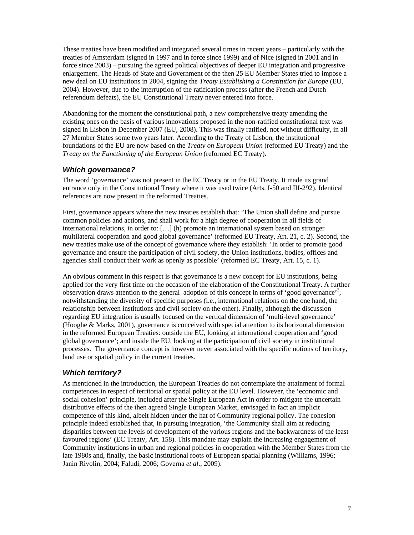These treaties have been modified and integrated several times in recent years – particularly with the treaties of Amsterdam (signed in 1997 and in force since 1999) and of Nice (signed in 2001 and in force since 2003) – pursuing the agreed political objectives of deeper EU integration and progressive enlargement. The Heads of State and Government of the then 25 EU Member States tried to impose a new deal on EU institutions in 2004, signing the *Treaty Establishing a Constitution for Europe* (EU, 2004). However, due to the interruption of the ratification process (after the French and Dutch referendum defeats), the EU Constitutional Treaty never entered into force.

Abandoning for the moment the constitutional path, a new comprehensive treaty amending the existing ones on the basis of various innovations proposed in the non-ratified constitutional text was signed in Lisbon in December 2007 (EU, 2008). This was finally ratified, not without difficulty, in all 27 Member States some two years later. According to the Treaty of Lisbon, the institutional foundations of the EU are now based on the *Treaty on European Union* (reformed EU Treaty) and the *Treaty on the Functioning of the European Union* (reformed EC Treaty).

#### *Which governance?*

The word 'governance' was not present in the EC Treaty or in the EU Treaty. It made its grand entrance only in the Constitutional Treaty where it was used twice (Arts. I-50 and III-292). Identical references are now present in the reformed Treaties.

First, governance appears where the new treaties establish that: 'The Union shall define and pursue common policies and actions, and shall work for a high degree of cooperation in all fields of international relations, in order to: […] (h) promote an international system based on stronger multilateral cooperation and good global governance' (reformed EU Treaty, Art. 21, c. 2). Second, the new treaties make use of the concept of governance where they establish: 'In order to promote good governance and ensure the participation of civil society, the Union institutions, bodies, offices and agencies shall conduct their work as openly as possible' (reformed EC Treaty, Art. 15, c. 1).

An obvious comment in this respect is that governance is a new concept for EU institutions, being applied for the very first time on the occasion of the elaboration of the Constitutional Treaty. A further observation draws attention to the general adoption of this concept in terms of 'good governance'<sup>3</sup>, notwithstanding the diversity of specific purposes (i.e., international relations on the one hand, the relationship between institutions and civil society on the other). Finally, although the discussion regarding EU integration is usually focused on the vertical dimension of 'multi-level governance' (Hooghe & Marks, 2001), governance is conceived with special attention to its horizontal dimension in the reformed European Treaties: outside the EU, looking at international cooperation and 'good global governance'; and inside the EU, looking at the participation of civil society in institutional processes. The governance concept is however never associated with the specific notions of territory, land use or spatial policy in the current treaties.

## *Which territory?*

As mentioned in the introduction, the European Treaties do not contemplate the attainment of formal competences in respect of territorial or spatial policy at the EU level. However, the 'economic and social cohesion' principle, included after the Single European Act in order to mitigate the uncertain distributive effects of the then agreed Single European Market, envisaged in fact an implicit competence of this kind, albeit hidden under the hat of Community regional policy. The cohesion principle indeed established that, in pursuing integration, 'the Community shall aim at reducing disparities between the levels of development of the various regions and the backwardness of the least favoured regions' (EC Treaty, Art. 158). This mandate may explain the increasing engagement of Community institutions in urban and regional policies in cooperation with the Member States from the late 1980s and, finally, the basic institutional roots of European spatial planning (Williams, 1996; Janin Rivolin, 2004; Faludi, 2006; Governa *et al*., 2009).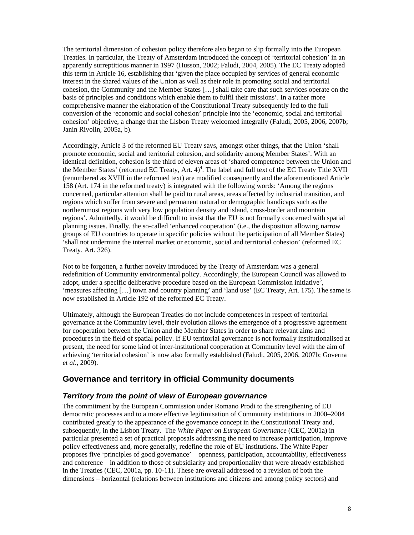The territorial dimension of cohesion policy therefore also began to slip formally into the European Treaties. In particular, the Treaty of Amsterdam introduced the concept of 'territorial cohesion' in an apparently surreptitious manner in 1997 (Husson, 2002; Faludi, 2004, 2005). The EC Treaty adopted this term in Article 16, establishing that 'given the place occupied by services of general economic interest in the shared values of the Union as well as their role in promoting social and territorial cohesion, the Community and the Member States […] shall take care that such services operate on the basis of principles and conditions which enable them to fulfil their missions'. In a rather more comprehensive manner the elaboration of the Constitutional Treaty subsequently led to the full conversion of the 'economic and social cohesion' principle into the 'economic, social and territorial cohesion' objective, a change that the Lisbon Treaty welcomed integrally (Faludi, 2005, 2006, 2007b; Janin Rivolin, 2005a, b).

Accordingly, Article 3 of the reformed EU Treaty says, amongst other things, that the Union 'shall promote economic, social and territorial cohesion, and solidarity among Member States'. With an identical definition, cohesion is the third of eleven areas of 'shared competence between the Union and the Member States' (reformed EC Treaty, Art.  $4)^4$ . The label and full text of the EC Treaty Title XVII (renumbered as XVIII in the reformed text) are modified consequently and the aforementioned Article 158 (Art. 174 in the reformed treaty) is integrated with the following words: 'Among the regions concerned, particular attention shall be paid to rural areas, areas affected by industrial transition, and regions which suffer from severe and permanent natural or demographic handicaps such as the northernmost regions with very low population density and island, cross-border and mountain regions'. Admittedly, it would be difficult to insist that the EU is not formally concerned with spatial planning issues. Finally, the so-called 'enhanced cooperation' (i.e., the disposition allowing narrow groups of EU countries to operate in specific policies without the participation of all Member States) 'shall not undermine the internal market or economic, social and territorial cohesion' (reformed EC Treaty, Art. 326).

Not to be forgotten, a further novelty introduced by the Treaty of Amsterdam was a general redefinition of Community environmental policy. Accordingly, the European Council was allowed to adopt, under a specific deliberative procedure based on the European Commission initiative<sup>5</sup>, 'measures affecting […] town and country planning' and 'land use' (EC Treaty, Art. 175). The same is now established in Article 192 of the reformed EC Treaty.

Ultimately, although the European Treaties do not include competences in respect of territorial governance at the Community level, their evolution allows the emergence of a progressive agreement for cooperation between the Union and the Member States in order to share relevant aims and procedures in the field of spatial policy. If EU territorial governance is not formally institutionalised at present, the need for some kind of inter-institutional cooperation at Community level with the aim of achieving 'territorial cohesion' is now also formally established (Faludi, 2005, 2006, 2007b; Governa *et al*., 2009).

#### **Governance and territory in official Community documents**

#### *Territory from the point of view of European governance*

The commitment by the European Commission under Romano Prodi to the strengthening of EU democratic processes and to a more effective legitimisation of Community institutions in 2000–2004 contributed greatly to the appearance of the governance concept in the Constitutional Treaty and, subsequently, in the Lisbon Treaty. The *White Paper on European Governance* (CEC, 2001a) in particular presented a set of practical proposals addressing the need to increase participation, improve policy effectiveness and, more generally, redefine the role of EU institutions. The White Paper proposes five 'principles of good governance' – openness, participation, accountability, effectiveness and coherence – in addition to those of subsidiarity and proportionality that were already established in the Treaties (CEC, 2001a, pp. 10-11). These are overall addressed to a revision of both the dimensions – horizontal (relations between institutions and citizens and among policy sectors) and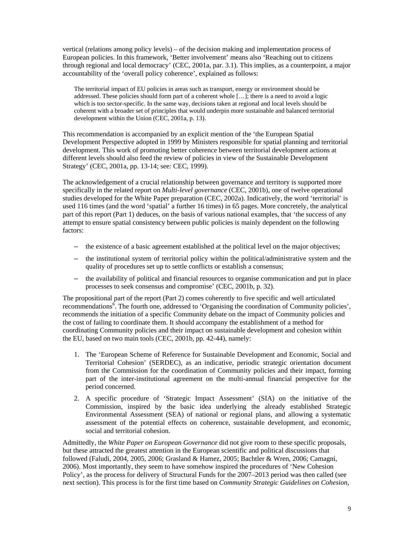vertical (relations among policy levels) – of the decision making and implementation process of European policies. In this framework, 'Better involvement' means also 'Reaching out to citizens through regional and local democracy' (CEC, 2001a, par. 3.1). This implies, as a counterpoint, a major accountability of the 'overall policy coherence', explained as follows:

The territorial impact of EU policies in areas such as transport, energy or environment should be addressed. These policies should form part of a coherent whole […]; there is a need to avoid a logic which is too sector-specific. In the same way, decisions taken at regional and local levels should be coherent with a broader set of principles that would underpin more sustainable and balanced territorial development within the Union (CEC, 2001a, p. 13).

This recommendation is accompanied by an explicit mention of the 'the European Spatial Development Perspective adopted in 1999 by Ministers responsible for spatial planning and territorial development. This work of promoting better coherence between territorial development actions at different levels should also feed the review of policies in view of the Sustainable Development Strategy' (CEC, 2001a, pp. 13-14; see: CEC, 1999).

The acknowledgement of a crucial relationship between governance and territory is supported more specifically in the related report on *Multi-level governance* (CEC, 2001b), one of twelve operational studies developed for the White Paper preparation (CEC, 2002a). Indicatively, the word 'territorial' is used 116 times (and the word 'spatial' a further 16 times) in 65 pages. More concretely, the analytical part of this report (Part 1) deduces, on the basis of various national examples, that 'the success of any attempt to ensure spatial consistency between public policies is mainly dependent on the following factors:

- the existence of a basic agreement established at the political level on the major objectives;
- the institutional system of territorial policy within the political/administrative system and the quality of procedures set up to settle conflicts or establish a consensus;
- the availability of political and financial resources to organise communication and put in place processes to seek consensus and compromise' (CEC, 2001b, p. 32).

The propositional part of the report (Part 2) comes coherently to five specific and well articulated recommendations<sup>6</sup>. The fourth one, addressed to 'Organising the coordination of Community policies', recommends the initiation of a specific Community debate on the impact of Community policies and the cost of failing to coordinate them. It should accompany the establishment of a method for coordinating Community policies and their impact on sustainable development and cohesion within the EU, based on two main tools (CEC, 2001b, pp. 42-44), namely:

- 1. The 'European Scheme of Reference for Sustainable Development and Economic, Social and Territorial Cohesion' (SERDEC), as an indicative, periodic strategic orientation document from the Commission for the coordination of Community policies and their impact, forming part of the inter-institutional agreement on the multi-annual financial perspective for the period concerned.
- 2. A specific procedure of 'Strategic Impact Assessment' (SIA) on the initiative of the Commission, inspired by the basic idea underlying the already established Strategic Environmental Assessment (SEA) of national or regional plans, and allowing a systematic assessment of the potential effects on coherence, sustainable development, and economic, social and territorial cohesion.

Admittedly, the *White Paper on European Governance* did not give room to these specific proposals, but these attracted the greatest attention in the European scientific and political discussions that followed (Faludi, 2004, 2005, 2006; Grasland & Hamez, 2005; Bachtler & Wren, 2006; Camagni, 2006). Most importantly, they seem to have somehow inspired the procedures of 'New Cohesion Policy', as the process for delivery of Structural Funds for the 2007–2013 period was then called (see next section). This process is for the first time based on *Community Strategic Guidelines on Cohesion*,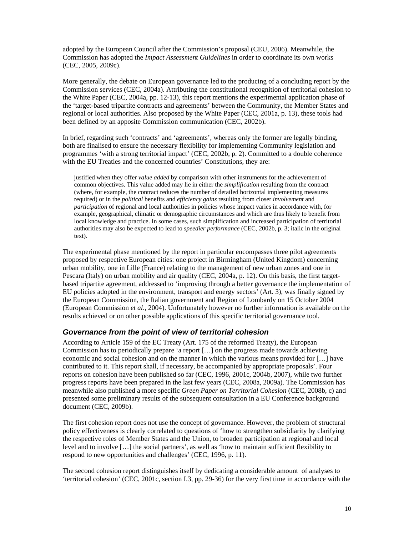adopted by the European Council after the Commission's proposal (CEU, 2006). Meanwhile, the Commission has adopted the *Impact Assessment Guidelines* in order to coordinate its own works (CEC, 2005, 2009c).

More generally, the debate on European governance led to the producing of a concluding report by the Commission services (CEC, 2004a). Attributing the constitutional recognition of territorial cohesion to the White Paper (CEC, 2004a, pp. 12-13), this report mentions the experimental application phase of the 'target-based tripartite contracts and agreements' between the Community, the Member States and regional or local authorities. Also proposed by the White Paper (CEC, 2001a, p. 13), these tools had been defined by an apposite Commission communication (CEC, 2002b).

In brief, regarding such 'contracts' and 'agreements', whereas only the former are legally binding, both are finalised to ensure the necessary flexibility for implementing Community legislation and programmes 'with a strong territorial impact' (CEC, 2002b, p. 2). Committed to a double coherence with the EU Treaties and the concerned countries' Constitutions, they are:

justified when they offer *value added* by comparison with other instruments for the achievement of common objectives. This value added may lie in either the *simplification* resulting from the contract (where, for example, the contract reduces the number of detailed horizontal implementing measures required) or in the *political* benefits and *efficiency gains* resulting from closer *involvement* and *participation* of regional and local authorities in policies whose impact varies in accordance with, for example, geographical, climatic or demographic circumstances and which are thus likely to benefit from local knowledge and practice. In some cases, such simplification and increased participation of territorial authorities may also be expected to lead to *speedier performance* (CEC, 2002b, p. 3; italic in the original text).

The experimental phase mentioned by the report in particular encompasses three pilot agreements proposed by respective European cities: one project in Birmingham (United Kingdom) concerning urban mobility, one in Lille (France) relating to the management of new urban zones and one in Pescara (Italy) on urban mobility and air quality (CEC, 2004a, p. 12). On this basis, the first targetbased tripartite agreement, addressed to 'improving through a better governance the implementation of EU policies adopted in the environment, transport and energy sectors' (Art. 3), was finally signed by the European Commission, the Italian government and Region of Lombardy on 15 October 2004 (European Commission *et al*., 2004). Unfortunately however no further information is available on the results achieved or on other possible applications of this specific territorial governance tool.

#### *Governance from the point of view of territorial cohesion*

According to Article 159 of the EC Treaty (Art. 175 of the reformed Treaty), the European Commission has to periodically prepare 'a report […] on the progress made towards achieving economic and social cohesion and on the manner in which the various means provided for […] have contributed to it. This report shall, if necessary, be accompanied by appropriate proposals'. Four reports on cohesion have been published so far (CEC, 1996, 2001c, 2004b, 2007), while two further progress reports have been prepared in the last few years (CEC, 2008a, 2009a). The Commission has meanwhile also published a more specific *Green Paper on Territorial Cohesion* (CEC, 2008b, c) and presented some preliminary results of the subsequent consultation in a EU Conference background document (CEC, 2009b).

The first cohesion report does not use the concept of governance. However, the problem of structural policy effectiveness is clearly correlated to questions of 'how to strengthen subsidiarity by clarifying the respective roles of Member States and the Union, to broaden participation at regional and local level and to involve […] the social partners', as well as 'how to maintain sufficient flexibility to respond to new opportunities and challenges' (CEC, 1996, p. 11).

The second cohesion report distinguishes itself by dedicating a considerable amount of analyses to 'territorial cohesion' (CEC, 2001c, section I.3, pp. 29-36) for the very first time in accordance with the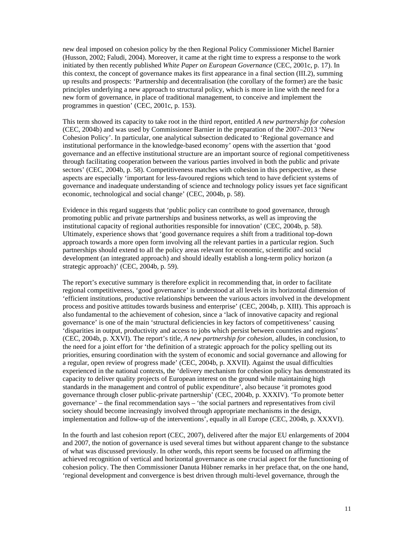new deal imposed on cohesion policy by the then Regional Policy Commissioner Michel Barnier (Husson, 2002; Faludi, 2004). Moreover, it came at the right time to express a response to the work initiated by then recently published *White Paper on European Governance* (CEC, 2001c, p. 17). In this context, the concept of governance makes its first appearance in a final section (III.2), summing up results and prospects: 'Partnership and decentralisation (the corollary of the former) are the basic principles underlying a new approach to structural policy, which is more in line with the need for a new form of governance, in place of traditional management, to conceive and implement the programmes in question' (CEC, 2001c, p. 153).

This term showed its capacity to take root in the third report, entitled *A new partnership for cohesion* (CEC, 2004b) and was used by Commissioner Barnier in the preparation of the 2007–2013 'New Cohesion Policy'. In particular, one analytical subsection dedicated to 'Regional governance and institutional performance in the knowledge-based economy' opens with the assertion that 'good governance and an effective institutional structure are an important source of regional competitiveness through facilitating cooperation between the various parties involved in both the public and private sectors' (CEC, 2004b, p. 58). Competitiveness matches with cohesion in this perspective, as these aspects are especially 'important for less-favoured regions which tend to have deficient systems of governance and inadequate understanding of science and technology policy issues yet face significant economic, technological and social change' (CEC, 2004b, p. 58).

Evidence in this regard suggests that 'public policy can contribute to good governance, through promoting public and private partnerships and business networks, as well as improving the institutional capacity of regional authorities responsible for innovation' (CEC, 2004b, p. 58). Ultimately, experience shows that 'good governance requires a shift from a traditional top-down approach towards a more open form involving all the relevant parties in a particular region. Such partnerships should extend to all the policy areas relevant for economic, scientific and social development (an integrated approach) and should ideally establish a long-term policy horizon (a strategic approach)' (CEC, 2004b, p. 59).

The report's executive summary is therefore explicit in recommending that, in order to facilitate regional competitiveness, 'good governance' is understood at all levels in its horizontal dimension of 'efficient institutions, productive relationships between the various actors involved in the development process and positive attitudes towards business and enterprise' (CEC, 2004b, p. XIII). This approach is also fundamental to the achievement of cohesion, since a 'lack of innovative capacity and regional governance' is one of the main 'structural deficiencies in key factors of competitiveness' causing 'disparities in output, productivity and access to jobs which persist between countries and regions' (CEC, 2004b, p. XXVI). The report's title, *A new partnership for cohesion*, alludes, in conclusion, to the need for a joint effort for 'the definition of a strategic approach for the policy spelling out its priorities, ensuring coordination with the system of economic and social governance and allowing for a regular, open review of progress made' (CEC, 2004b, p. XXVII). Against the usual difficulties experienced in the national contexts, the 'delivery mechanism for cohesion policy has demonstrated its capacity to deliver quality projects of European interest on the ground while maintaining high standards in the management and control of public expenditure', also because 'it promotes good governance through closer public-private partnership' (CEC, 2004b, p. XXXIV). 'To promote better governance' – the final recommendation says – 'the social partners and representatives from civil society should become increasingly involved through appropriate mechanisms in the design, implementation and follow-up of the interventions', equally in all Europe (CEC, 2004b, p. XXXVI).

In the fourth and last cohesion report (CEC, 2007), delivered after the major EU enlargements of 2004 and 2007, the notion of governance is used several times but without apparent change to the substance of what was discussed previously. In other words, this report seems be focused on affirming the achieved recognition of vertical and horizontal governance as one crucial aspect for the functioning of cohesion policy. The then Commissioner Danuta Hübner remarks in her preface that, on the one hand, 'regional development and convergence is best driven through multi-level governance, through the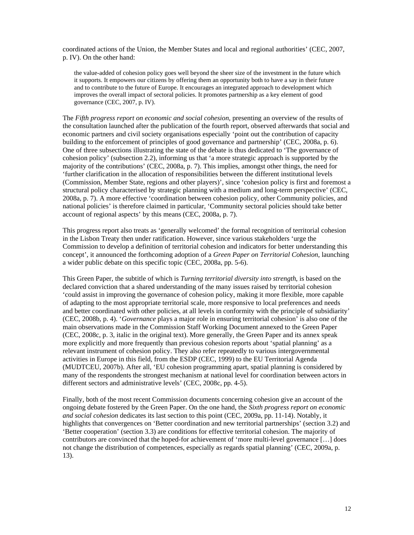coordinated actions of the Union, the Member States and local and regional authorities' (CEC, 2007, p. IV). On the other hand:

the value-added of cohesion policy goes well beyond the sheer size of the investment in the future which it supports. It empowers our citizens by offering them an opportunity both to have a say in their future and to contribute to the future of Europe. It encourages an integrated approach to development which improves the overall impact of sectoral policies. It promotes partnership as a key element of good governance (CEC, 2007, p. IV).

The *Fifth progress report on economic and social cohesion*, presenting an overview of the results of the consultation launched after the publication of the fourth report, observed afterwards that social and economic partners and civil society organisations especially 'point out the contribution of capacity building to the enforcement of principles of good governance and partnership' (CEC, 2008a, p. 6). One of three subsections illustrating the state of the debate is thus dedicated to 'The governance of cohesion policy' (subsection 2.2), informing us that 'a more strategic approach is supported by the majority of the contributions' (CEC, 2008a, p. 7). This implies, amongst other things, the need for 'further clarification in the allocation of responsibilities between the different institutional levels (Commission, Member State, regions and other players)', since 'cohesion policy is first and foremost a structural policy characterised by strategic planning with a medium and long-term perspective' (CEC, 2008a, p. 7). A more effective 'coordination between cohesion policy, other Community policies, and national policies' is therefore claimed in particular, 'Community sectoral policies should take better account of regional aspects' by this means (CEC, 2008a, p. 7).

This progress report also treats as 'generally welcomed' the formal recognition of territorial cohesion in the Lisbon Treaty then under ratification. However, since various stakeholders 'urge the Commission to develop a definition of territorial cohesion and indicators for better understanding this concept', it announced the forthcoming adoption of a *Green Paper on Territorial Cohesion*, launching a wider public debate on this specific topic (CEC, 2008a, pp. 5-6).

This Green Paper, the subtitle of which is *Turning territorial diversity into strength*, is based on the declared conviction that a shared understanding of the many issues raised by territorial cohesion 'could assist in improving the governance of cohesion policy, making it more flexible, more capable of adapting to the most appropriate territorial scale, more responsive to local preferences and needs and better coordinated with other policies, at all levels in conformity with the principle of subsidiarity' (CEC, 2008b, p. 4). '*Governance* plays a major role in ensuring territorial cohesion' is also one of the main observations made in the Commission Staff Working Document annexed to the Green Paper (CEC, 2008c, p. 3, italic in the original text). More generally, the Green Paper and its annex speak more explicitly and more frequently than previous cohesion reports about 'spatial planning' as a relevant instrument of cohesion policy. They also refer repeatedly to various intergovernmental activities in Europe in this field, from the ESDP (CEC, 1999) to the EU Territorial Agenda (MUDTCEU, 2007b). After all, 'EU cohesion programming apart, spatial planning is considered by many of the respondents the strongest mechanism at national level for coordination between actors in different sectors and administrative levels' (CEC, 2008c, pp. 4-5).

Finally, both of the most recent Commission documents concerning cohesion give an account of the ongoing debate fostered by the Green Paper. On the one hand, the *Sixth progress report on economic and social cohesion* dedicates its last section to this point (CEC, 2009a, pp. 11-14). Notably, it highlights that convergences on 'Better coordination and new territorial partnerships' (section 3.2) and 'Better cooperation' (section 3.3) are conditions for effective territorial cohesion. The majority of contributors are convinced that the hoped-for achievement of 'more multi-level governance […] does not change the distribution of competences, especially as regards spatial planning' (CEC, 2009a, p. 13).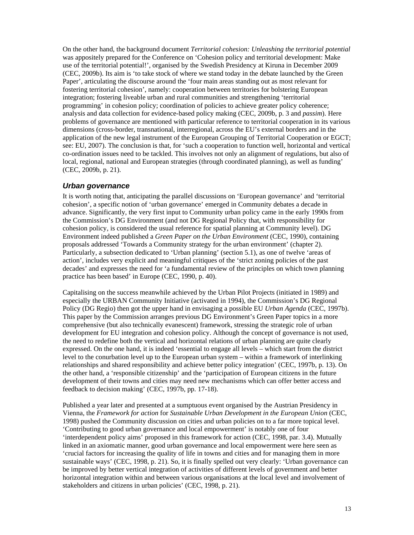On the other hand, the background document *Territorial cohesion: Unleashing the territorial potential* was appositely prepared for the Conference on 'Cohesion policy and territorial development: Make use of the territorial potential!', organised by the Swedish Presidency at Kiruna in December 2009 (CEC, 2009b). Its aim is 'to take stock of where we stand today in the debate launched by the Green Paper', articulating the discourse around the 'four main areas standing out as most relevant for fostering territorial cohesion', namely: cooperation between territories for bolstering European integration; fostering liveable urban and rural communities and strengthening 'territorial programming' in cohesion policy; coordination of policies to achieve greater policy coherence; analysis and data collection for evidence-based policy making (CEC, 2009b, p. 3 and *passim*). Here problems of governance are mentioned with particular reference to territorial cooperation in its various dimensions (cross-border, transnational, interregional, across the EU's external borders and in the application of the new legal instrument of the European Grouping of Territorial Cooperation or EGCT; see: EU, 2007). The conclusion is that, for 'such a cooperation to function well, horizontal and vertical co-ordination issues need to be tackled. This involves not only an alignment of regulations, but also of local, regional, national and European strategies (through coordinated planning), as well as funding' (CEC, 2009b, p. 21).

#### *Urban governance*

It is worth noting that, anticipating the parallel discussions on 'European governance' and 'territorial cohesion', a specific notion of 'urban governance' emerged in Community debates a decade in advance. Significantly, the very first input to Community urban policy came in the early 1990s from the Commission's DG Environment (and not DG Regional Policy that, with responsibility for cohesion policy, is considered the usual reference for spatial planning at Community level). DG Environment indeed published a *Green Paper on the Urban Environment* (CEC, 1990), containing proposals addressed 'Towards a Community strategy for the urban environment' (chapter 2). Particularly, a subsection dedicated to 'Urban planning' (section 5.1), as one of twelve 'areas of action', includes very explicit and meaningful critiques of the 'strict zoning policies of the past decades' and expresses the need for 'a fundamental review of the principles on which town planning practice has been based' in Europe (CEC, 1990, p. 40).

Capitalising on the success meanwhile achieved by the Urban Pilot Projects (initiated in 1989) and especially the URBAN Community Initiative (activated in 1994), the Commission's DG Regional Policy (DG Regio) then got the upper hand in envisaging a possible EU *Urban Agenda* (CEC, 1997b). This paper by the Commission arranges previous DG Environment's Green Paper topics in a more comprehensive (but also technically evanescent) framework, stressing the strategic role of urban development for EU integration and cohesion policy. Although the concept of governance is not used, the need to redefine both the vertical and horizontal relations of urban planning are quite clearly expressed. On the one hand, it is indeed 'essential to engage all levels – which start from the district level to the conurbation level up to the European urban system – within a framework of interlinking relationships and shared responsibility and achieve better policy integration' (CEC, 1997b, p. 13). On the other hand, a 'responsible citizenship' and the 'participation of European citizens in the future development of their towns and cities may need new mechanisms which can offer better access and feedback to decision making' (CEC, 1997b, pp. 17-18).

Published a year later and presented at a sumptuous event organised by the Austrian Presidency in Vienna, the *Framework for action* for *Sustainable Urban Development in the European Union* (CEC, 1998) pushed the Community discussion on cities and urban policies on to a far more topical level. 'Contributing to good urban governance and local empowerment' is notably one of four 'interdependent policy aims' proposed in this framework for action (CEC, 1998, par. 3.4). Mutually linked in an axiomatic manner, good urban governance and local empowerment were here seen as 'crucial factors for increasing the quality of life in towns and cities and for managing them in more sustainable ways' (CEC, 1998, p. 21). So, it is finally spelled out very clearly: 'Urban governance can be improved by better vertical integration of activities of different levels of government and better horizontal integration within and between various organisations at the local level and involvement of stakeholders and citizens in urban policies' (CEC, 1998, p. 21).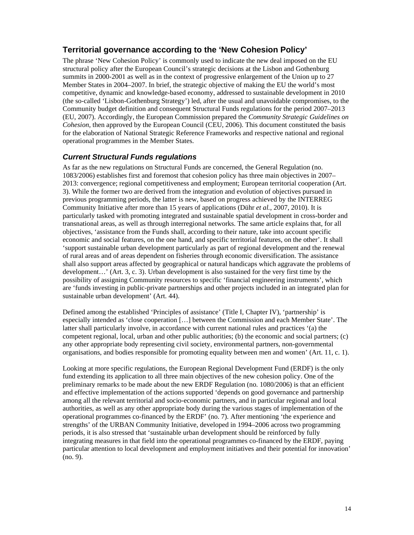# **Territorial governance according to the 'New Cohesion Policy'**

The phrase 'New Cohesion Policy' is commonly used to indicate the new deal imposed on the EU structural policy after the European Council's strategic decisions at the Lisbon and Gothenburg summits in 2000-2001 as well as in the context of progressive enlargement of the Union up to 27 Member States in 2004–2007. In brief, the strategic objective of making the EU the world's most competitive, dynamic and knowledge-based economy, addressed to sustainable development in 2010 (the so-called 'Lisbon-Gothenburg Strategy') led, after the usual and unavoidable compromises, to the Community budget definition and consequent Structural Funds regulations for the period 2007–2013 (EU, 2007). Accordingly, the European Commission prepared the *Community Strategic Guidelines on Cohesion*, then approved by the European Council (CEU, 2006). This document constituted the basis for the elaboration of National Strategic Reference Frameworks and respective national and regional operational programmes in the Member States.

## *Current Structural Funds regulations*

As far as the new regulations on Structural Funds are concerned, the General Regulation (no. 1083/2006) establishes first and foremost that cohesion policy has three main objectives in 2007– 2013: convergence; regional competitiveness and employment; European territorial cooperation (Art. 3). While the former two are derived from the integration and evolution of objectives pursued in previous programming periods, the latter is new, based on progress achieved by the INTERREG Community Initiative after more than 15 years of applications (Dühr *et al.*, 2007, 2010). It is particularly tasked with promoting integrated and sustainable spatial development in cross-border and transnational areas, as well as through interregional networks. The same article explains that, for all objectives, 'assistance from the Funds shall, according to their nature, take into account specific economic and social features, on the one hand, and specific territorial features, on the other'. It shall 'support sustainable urban development particularly as part of regional development and the renewal of rural areas and of areas dependent on fisheries through economic diversification. The assistance shall also support areas affected by geographical or natural handicaps which aggravate the problems of development…' (Art. 3, c. 3). Urban development is also sustained for the very first time by the possibility of assigning Community resources to specific 'financial engineering instruments', which are 'funds investing in public-private partnerships and other projects included in an integrated plan for sustainable urban development' (Art. 44).

Defined among the established 'Principles of assistance' (Title I, Chapter IV), 'partnership' is especially intended as 'close cooperation […] between the Commission and each Member State'. The latter shall particularly involve, in accordance with current national rules and practices '(a) the competent regional, local, urban and other public authorities; (b) the economic and social partners; (c) any other appropriate body representing civil society, environmental partners, non-governmental organisations, and bodies responsible for promoting equality between men and women' (Art. 11, c. 1).

Looking at more specific regulations, the European Regional Development Fund (ERDF) is the only fund extending its application to all three main objectives of the new cohesion policy. One of the preliminary remarks to be made about the new ERDF Regulation (no. 1080/2006) is that an efficient and effective implementation of the actions supported 'depends on good governance and partnership among all the relevant territorial and socio-economic partners, and in particular regional and local authorities, as well as any other appropriate body during the various stages of implementation of the operational programmes co-financed by the ERDF' (no. 7). After mentioning 'the experience and strengths' of the URBAN Community Initiative, developed in 1994–2006 across two programming periods, it is also stressed that 'sustainable urban development should be reinforced by fully integrating measures in that field into the operational programmes co-financed by the ERDF, paying particular attention to local development and employment initiatives and their potential for innovation' (no. 9).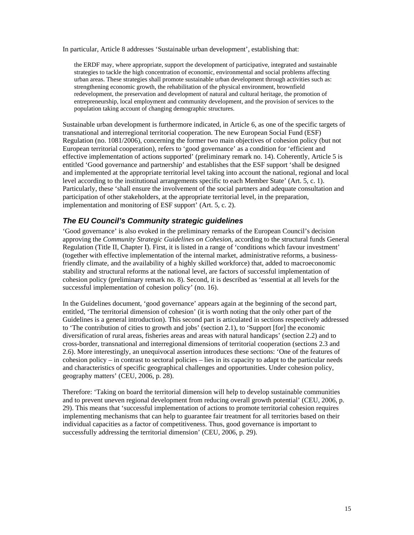In particular, Article 8 addresses 'Sustainable urban development', establishing that:

the ERDF may, where appropriate, support the development of participative, integrated and sustainable strategies to tackle the high concentration of economic, environmental and social problems affecting urban areas. These strategies shall promote sustainable urban development through activities such as: strengthening economic growth, the rehabilitation of the physical environment, brownfield redevelopment, the preservation and development of natural and cultural heritage, the promotion of entrepreneurship, local employment and community development, and the provision of services to the population taking account of changing demographic structures.

Sustainable urban development is furthermore indicated, in Article 6, as one of the specific targets of transnational and interregional territorial cooperation. The new European Social Fund (ESF) Regulation (no. 1081/2006), concerning the former two main objectives of cohesion policy (but not European territorial cooperation), refers to 'good governance' as a condition for 'efficient and effective implementation of actions supported' (preliminary remark no. 14). Coherently, Article 5 is entitled 'Good governance and partnership' and establishes that the ESF support 'shall be designed and implemented at the appropriate territorial level taking into account the national, regional and local level according to the institutional arrangements specific to each Member State' (Art. 5, c. 1). Particularly, these 'shall ensure the involvement of the social partners and adequate consultation and participation of other stakeholders, at the appropriate territorial level, in the preparation, implementation and monitoring of ESF support' (Art. 5, c. 2).

#### *The EU Council's Community strategic guidelines*

'Good governance' is also evoked in the preliminary remarks of the European Council's decision approving the *Community Strategic Guidelines on Cohesion*, according to the structural funds General Regulation (Title II, Chapter I). First, it is listed in a range of 'conditions which favour investment' (together with effective implementation of the internal market, administrative reforms, a businessfriendly climate, and the availability of a highly skilled workforce) that, added to macroeconomic stability and structural reforms at the national level, are factors of successful implementation of cohesion policy (preliminary remark no. 8). Second, it is described as 'essential at all levels for the successful implementation of cohesion policy' (no. 16).

In the Guidelines document, 'good governance' appears again at the beginning of the second part, entitled, 'The territorial dimension of cohesion' (it is worth noting that the only other part of the Guidelines is a general introduction). This second part is articulated in sections respectively addressed to 'The contribution of cities to growth and jobs' (section 2.1), to 'Support [for] the economic diversification of rural areas, fisheries areas and areas with natural handicaps' (section 2.2) and to cross-border, transnational and interregional dimensions of territorial cooperation (sections 2.3 and 2.6). More interestingly, an unequivocal assertion introduces these sections: 'One of the features of cohesion policy – in contrast to sectoral policies – lies in its capacity to adapt to the particular needs and characteristics of specific geographical challenges and opportunities. Under cohesion policy, geography matters' (CEU, 2006, p. 28).

Therefore: 'Taking on board the territorial dimension will help to develop sustainable communities and to prevent uneven regional development from reducing overall growth potential' (CEU, 2006, p. 29). This means that 'successful implementation of actions to promote territorial cohesion requires implementing mechanisms that can help to guarantee fair treatment for all territories based on their individual capacities as a factor of competitiveness. Thus, good governance is important to successfully addressing the territorial dimension' (CEU, 2006, p. 29).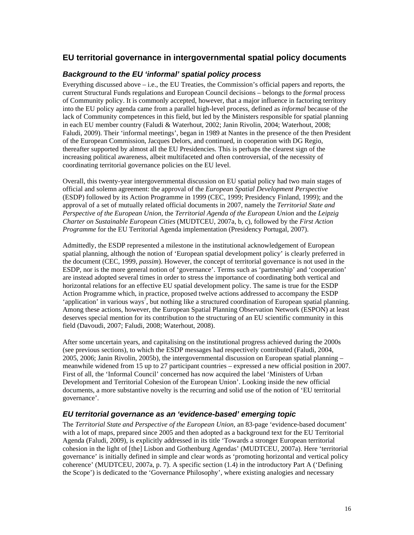# **EU territorial governance in intergovernmental spatial policy documents**

#### *Background to the EU 'informal' spatial policy process*

Everything discussed above – i.e., the EU Treaties, the Commission's official papers and reports, the current Structural Funds regulations and European Council decisions – belongs to the *formal* process of Community policy. It is commonly accepted, however, that a major influence in factoring territory into the EU policy agenda came from a parallel high-level process, defined as *informal* because of the lack of Community competences in this field, but led by the Ministers responsible for spatial planning in each EU member country (Faludi & Waterhout, 2002; Janin Rivolin, 2004; Waterhout, 2008; Faludi, 2009). Their 'informal meetings', began in 1989 at Nantes in the presence of the then President of the European Commission, Jacques Delors, and continued, in cooperation with DG Regio, thereafter supported by almost all the EU Presidencies. This is perhaps the clearest sign of the increasing political awareness, albeit multifaceted and often controversial, of the necessity of coordinating territorial governance policies on the EU level.

Overall, this twenty-year intergovernmental discussion on EU spatial policy had two main stages of official and solemn agreement: the approval of the *European Spatial Development Perspective* (ESDP) followed by its Action Programme in 1999 (CEC, 1999; Presidency Finland, 1999); and the approval of a set of mutually related official documents in 2007, namely the *Territorial State and Perspective of the European Union*, the *Territorial Agenda of the European Union* and the *Leipzig Charter on Sustainable European Cities* (MUDTCEU, 2007a, b, c), followed by the *First Action Programme* for the EU Territorial Agenda implementation (Presidency Portugal, 2007).

Admittedly, the ESDP represented a milestone in the institutional acknowledgement of European spatial planning, although the notion of 'European spatial development policy' is clearly preferred in the document (CEC, 1999, *passim*). However, the concept of territorial governance is not used in the ESDP, nor is the more general notion of 'governance'. Terms such as 'partnership' and 'cooperation' are instead adopted several times in order to stress the importance of coordinating both vertical and horizontal relations for an effective EU spatial development policy. The same is true for the ESDP Action Programme which, in practice, proposed twelve actions addressed to accompany the ESDP 'application' in various ways<sup>7</sup>, but nothing like a structured coordination of European spatial planning. Among these actions, however, the European Spatial Planning Observation Network (ESPON) at least deserves special mention for its contribution to the structuring of an EU scientific community in this field (Davoudi, 2007; Faludi, 2008; Waterhout, 2008).

After some uncertain years, and capitalising on the institutional progress achieved during the 2000s (see previous sections), to which the ESDP messages had respectively contributed (Faludi, 2004, 2005, 2006; Janin Rivolin, 2005b), the intergovernmental discussion on European spatial planning – meanwhile widened from 15 up to 27 participant countries – expressed a new official position in 2007. First of all, the 'Informal Council' concerned has now acquired the label 'Ministers of Urban Development and Territorial Cohesion of the European Union'. Looking inside the new official documents, a more substantive novelty is the recurring and solid use of the notion of 'EU territorial governance'.

#### *EU territorial governance as an 'evidence-based' emerging topic*

The *Territorial State and Perspective of the European Union*, an 83-page 'evidence-based document' with a lot of maps, prepared since 2005 and then adopted as a background text for the EU Territorial Agenda (Faludi, 2009), is explicitly addressed in its title 'Towards a stronger European territorial cohesion in the light of [the] Lisbon and Gothenburg Agendas' (MUDTCEU, 2007a). Here 'territorial governance' is initially defined in simple and clear words as 'promoting horizontal and vertical policy coherence' (MUDTCEU, 2007a, p. 7). A specific section (1.4) in the introductory Part A ('Defining the Scope') is dedicated to the 'Governance Philosophy', where existing analogies and necessary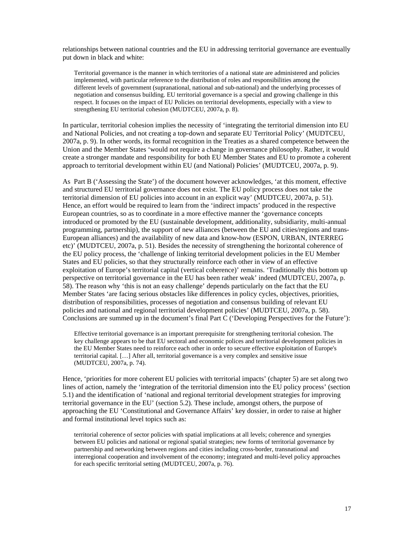relationships between national countries and the EU in addressing territorial governance are eventually put down in black and white:

Territorial governance is the manner in which territories of a national state are administered and policies implemented, with particular reference to the distribution of roles and responsibilities among the different levels of government (supranational, national and sub-national) and the underlying processes of negotiation and consensus building. EU territorial governance is a special and growing challenge in this respect. It focuses on the impact of EU Policies on territorial developments, especially with a view to strengthening EU territorial cohesion (MUDTCEU, 2007a, p. 8).

In particular, territorial cohesion implies the necessity of 'integrating the territorial dimension into EU and National Policies, and not creating a top-down and separate EU Territorial Policy' (MUDTCEU, 2007a, p. 9). In other words, its formal recognition in the Treaties as a shared competence between the Union and the Member States 'would not require a change in governance philosophy. Rather, it would create a stronger mandate and responsibility for both EU Member States and EU to promote a coherent approach to territorial development within EU (and National) Policies' (MUDTCEU, 2007a, p. 9).

As Part B ('Assessing the State') of the document however acknowledges, 'at this moment, effective and structured EU territorial governance does not exist. The EU policy process does not take the territorial dimension of EU policies into account in an explicit way' (MUDTCEU, 2007a, p. 51). Hence, an effort would be required to learn from the 'indirect impacts' produced in the respective European countries, so as to coordinate in a more effective manner the 'governance concepts introduced or promoted by the EU (sustainable development, additionality, subsidiarity, multi-annual programming, partnership), the support of new alliances (between the EU and cities/regions and trans-European alliances) and the availability of new data and know-how (ESPON, URBAN, INTERREG etc)' (MUDTCEU, 2007a, p. 51). Besides the necessity of strengthening the horizontal coherence of the EU policy process, the 'challenge of linking territorial development policies in the EU Member States and EU policies, so that they structurally reinforce each other in view of an effective exploitation of Europe's territorial capital (vertical coherence)' remains. 'Traditionally this bottom up perspective on territorial governance in the EU has been rather weak' indeed (MUDTCEU, 2007a, p. 58). The reason why 'this is not an easy challenge' depends particularly on the fact that the EU Member States 'are facing serious obstacles like differences in policy cycles, objectives, priorities, distribution of responsibilities, processes of negotiation and consensus building of relevant EU policies and national and regional territorial development policies' (MUDTCEU, 2007a, p. 58). Conclusions are summed up in the document's final Part C ('Developing Perspectives for the Future'):

Effective territorial governance is an important prerequisite for strengthening territorial cohesion. The key challenge appears to be that EU sectoral and economic polices and territorial development policies in the EU Member States need to reinforce each other in order to secure effective exploitation of Europe's territorial capital. […] After all, territorial governance is a very complex and sensitive issue (MUDTCEU, 2007a, p. 74).

Hence, 'priorities for more coherent EU policies with territorial impacts' (chapter 5) are set along two lines of action, namely the 'integration of the territorial dimension into the EU policy process' (section 5.1) and the identification of 'national and regional territorial development strategies for improving territorial governance in the EU' (section 5.2). These include, amongst others, the purpose of approaching the EU 'Constitutional and Governance Affairs' key dossier, in order to raise at higher and formal institutional level topics such as:

territorial coherence of sector policies with spatial implications at all levels; coherence and synergies between EU policies and national or regional spatial strategies; new forms of territorial governance by partnership and networking between regions and cities including cross-border, transnational and interregional cooperation and involvement of the economy; integrated and multi-level policy approaches for each specific territorial setting (MUDTCEU, 2007a, p. 76).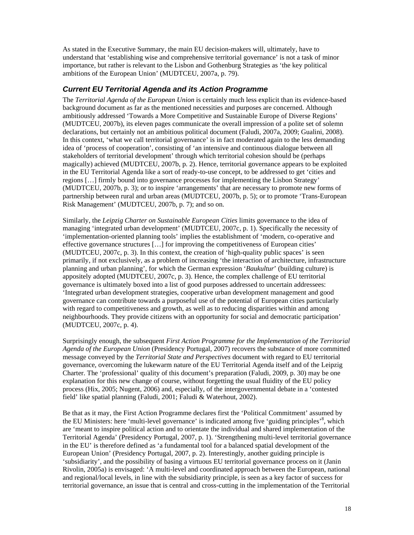As stated in the Executive Summary, the main EU decision-makers will, ultimately, have to understand that 'establishing wise and comprehensive territorial governance' is not a task of minor importance, but rather is relevant to the Lisbon and Gothenburg Strategies as 'the key political ambitions of the European Union' (MUDTCEU, 2007a, p. 79).

#### *Current EU Territorial Agenda and its Action Programme*

The *Territorial Agenda of the European Union* is certainly much less explicit than its evidence-based background document as far as the mentioned necessities and purposes are concerned. Although ambitiously addressed 'Towards a More Competitive and Sustainable Europe of Diverse Regions' (MUDTCEU, 2007b), its eleven pages communicate the overall impression of a polite set of solemn declarations, but certainly not an ambitious political document (Faludi, 2007a, 2009; Gualini, 2008). In this context, 'what we call territorial governance' is in fact moderated again to the less demanding idea of 'process of cooperation', consisting of 'an intensive and continuous dialogue between all stakeholders of territorial development' through which territorial cohesion should be (perhaps magically) achieved (MUDTCEU, 2007b, p. 2). Hence, territorial governance appears to be exploited in the EU Territorial Agenda like a sort of ready-to-use concept, to be addressed to get 'cities and regions […] firmly bound into governance processes for implementing the Lisbon Strategy' (MUDTCEU, 2007b, p. 3); or to inspire 'arrangements' that are necessary to promote new forms of partnership between rural and urban areas (MUDTCEU, 2007b, p. 5); or to promote 'Trans-European Risk Management' (MUDTCEU, 2007b, p. 7); and so on.

Similarly, the *Leipzig Charter on Sustainable European Cities* limits governance to the idea of managing 'integrated urban development' (MUDTCEU, 2007c, p. 1). Specifically the necessity of 'implementation-oriented planning tools' implies the establishment of 'modern, co-operative and effective governance structures […] for improving the competitiveness of European cities' (MUDTCEU, 2007c, p. 3). In this context, the creation of 'high-quality public spaces' is seen primarily, if not exclusively, as a problem of increasing 'the interaction of architecture, infrastructure planning and urban planning', for which the German expression '*Baukultur*' (building culture) is appositely adopted (MUDTCEU, 2007c, p. 3). Hence, the complex challenge of EU territorial governance is ultimately boxed into a list of good purposes addressed to uncertain addressees: 'Integrated urban development strategies, cooperative urban development management and good governance can contribute towards a purposeful use of the potential of European cities particularly with regard to competitiveness and growth, as well as to reducing disparities within and among neighbourhoods. They provide citizens with an opportunity for social and democratic participation' (MUDTCEU, 2007c, p. 4).

Surprisingly enough, the subsequent *First Action Programme for the Implementation of the Territorial Agenda of the European Union* (Presidency Portugal, 2007) recovers the substance of more committed message conveyed by the *Territorial State and Perspectives* document with regard to EU territorial governance, overcoming the lukewarm nature of the EU Territorial Agenda itself and of the Leipzig Charter. The 'professional' quality of this document's preparation (Faludi, 2009, p. 30) may be one explanation for this new change of course, without forgetting the usual fluidity of the EU policy process (Hix, 2005; Nugent, 2006) and, especially, of the intergovernmental debate in a 'contested field' like spatial planning (Faludi, 2001; Faludi & Waterhout, 2002).

Be that as it may, the First Action Programme declares first the 'Political Commitment' assumed by the EU Ministers: here 'multi-level governance' is indicated among five 'guiding principles'<sup>8</sup>, which are 'meant to inspire political action and to orientate the individual and shared implementation of the Territorial Agenda' (Presidency Portugal, 2007, p. 1). 'Strengthening multi-level territorial governance in the EU' is therefore defined as 'a fundamental tool for a balanced spatial development of the European Union' (Presidency Portugal, 2007, p. 2). Interestingly, another guiding principle is 'subsidiarity', and the possibility of basing a virtuous EU territorial governance process on it (Janin Rivolin, 2005a) is envisaged: 'A multi-level and coordinated approach between the European, national and regional/local levels, in line with the subsidiarity principle, is seen as a key factor of success for territorial governance, an issue that is central and cross-cutting in the implementation of the Territorial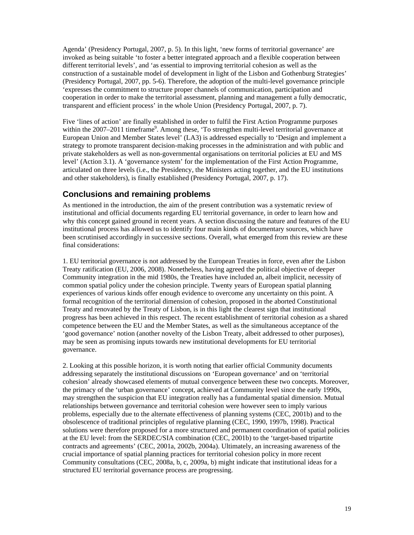Agenda' (Presidency Portugal, 2007, p. 5). In this light, 'new forms of territorial governance' are invoked as being suitable 'to foster a better integrated approach and a flexible cooperation between different territorial levels', and 'as essential to improving territorial cohesion as well as the construction of a sustainable model of development in light of the Lisbon and Gothenburg Strategies' (Presidency Portugal, 2007, pp. 5-6). Therefore, the adoption of the multi-level governance principle 'expresses the commitment to structure proper channels of communication, participation and cooperation in order to make the territorial assessment, planning and management a fully democratic, transparent and efficient process' in the whole Union (Presidency Portugal, 2007, p. 7).

Five 'lines of action' are finally established in order to fulfil the First Action Programme purposes within the 2007–2011 timeframe<sup>9</sup>. Among these, 'To strengthen multi-level territorial governance at European Union and Member States level' (LA3) is addressed especially to 'Design and implement a strategy to promote transparent decision-making processes in the administration and with public and private stakeholders as well as non-governmental organisations on territorial policies at EU and MS level' (Action 3.1). A 'governance system' for the implementation of the First Action Programme, articulated on three levels (i.e., the Presidency, the Ministers acting together, and the EU institutions and other stakeholders), is finally established (Presidency Portugal, 2007, p. 17).

# **Conclusions and remaining problems**

As mentioned in the introduction, the aim of the present contribution was a systematic review of institutional and official documents regarding EU territorial governance, in order to learn how and why this concept gained ground in recent years. A section discussing the nature and features of the EU institutional process has allowed us to identify four main kinds of documentary sources, which have been scrutinised accordingly in successive sections. Overall, what emerged from this review are these final considerations:

1. EU territorial governance is not addressed by the European Treaties in force, even after the Lisbon Treaty ratification (EU, 2006, 2008). Nonetheless, having agreed the political objective of deeper Community integration in the mid 1980s, the Treaties have included an, albeit implicit, necessity of common spatial policy under the cohesion principle. Twenty years of European spatial planning experiences of various kinds offer enough evidence to overcome any uncertainty on this point. A formal recognition of the territorial dimension of cohesion, proposed in the aborted Constitutional Treaty and renovated by the Treaty of Lisbon, is in this light the clearest sign that institutional progress has been achieved in this respect. The recent establishment of territorial cohesion as a shared competence between the EU and the Member States, as well as the simultaneous acceptance of the 'good governance' notion (another novelty of the Lisbon Treaty, albeit addressed to other purposes), may be seen as promising inputs towards new institutional developments for EU territorial governance.

2. Looking at this possible horizon, it is worth noting that earlier official Community documents addressing separately the institutional discussions on 'European governance' and on 'territorial cohesion' already showcased elements of mutual convergence between these two concepts. Moreover, the primacy of the 'urban governance' concept, achieved at Community level since the early 1990s, may strengthen the suspicion that EU integration really has a fundamental spatial dimension. Mutual relationships between governance and territorial cohesion were however seen to imply various problems, especially due to the alternate effectiveness of planning systems (CEC, 2001b) and to the obsolescence of traditional principles of regulative planning (CEC, 1990, 1997b, 1998). Practical solutions were therefore proposed for a more structured and permanent coordination of spatial policies at the EU level: from the SERDEC/SIA combination (CEC, 2001b) to the 'target-based tripartite contracts and agreements' (CEC, 2001a, 2002b, 2004a). Ultimately, an increasing awareness of the crucial importance of spatial planning practices for territorial cohesion policy in more recent Community consultations (CEC, 2008a, b, c, 2009a, b) might indicate that institutional ideas for a structured EU territorial governance process are progressing.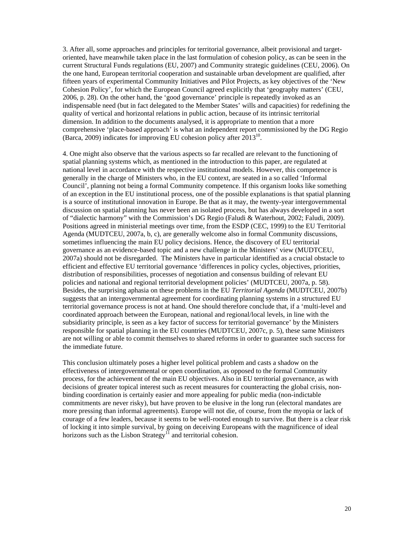3. After all, some approaches and principles for territorial governance, albeit provisional and targetoriented, have meanwhile taken place in the last formulation of cohesion policy, as can be seen in the current Structural Funds regulations (EU, 2007) and Community strategic guidelines (CEU, 2006). On the one hand, European territorial cooperation and sustainable urban development are qualified, after fifteen years of experimental Community Initiatives and Pilot Projects, as key objectives of the 'New Cohesion Policy', for which the European Council agreed explicitly that 'geography matters' (CEU, 2006, p. 28). On the other hand, the 'good governance' principle is repeatedly invoked as an indispensable need (but in fact delegated to the Member States' wills and capacities) for redefining the quality of vertical and horizontal relations in public action, because of its intrinsic territorial dimension. In addition to the documents analysed, it is appropriate to mention that a more comprehensive 'place-based approach' is what an independent report commissioned by the DG Regio (Barca, 2009) indicates for improving EU cohesion policy after  $2013^{10}$ .

4. One might also observe that the various aspects so far recalled are relevant to the functioning of spatial planning systems which, as mentioned in the introduction to this paper, are regulated at national level in accordance with the respective institutional models. However, this competence is generally in the charge of Ministers who, in the EU context, are seated in a so called 'Informal Council', planning not being a formal Community competence. If this organism looks like something of an exception in the EU institutional process, one of the possible explanations is that spatial planning is a source of institutional innovation in Europe. Be that as it may, the twenty-year intergovernmental discussion on spatial planning has never been an isolated process, but has always developed in a sort of "dialectic harmony" with the Commission's DG Regio (Faludi & Waterhout, 2002; Faludi, 2009). Positions agreed in ministerial meetings over time, from the ESDP (CEC, 1999) to the EU Territorial Agenda (MUDTCEU, 2007a, b, c), are generally welcome also in formal Community discussions, sometimes influencing the main EU policy decisions. Hence, the discovery of EU territorial governance as an evidence-based topic and a new challenge in the Ministers' view (MUDTCEU, 2007a) should not be disregarded. The Ministers have in particular identified as a crucial obstacle to efficient and effective EU territorial governance 'differences in policy cycles, objectives, priorities, distribution of responsibilities, processes of negotiation and consensus building of relevant EU policies and national and regional territorial development policies' (MUDTCEU, 2007a, p. 58). Besides, the surprising aphasia on these problems in the EU *Territorial Agenda* (MUDTCEU, 2007b) suggests that an intergovernmental agreement for coordinating planning systems in a structured EU territorial governance process is not at hand. One should therefore conclude that, if a 'multi-level and coordinated approach between the European, national and regional/local levels, in line with the subsidiarity principle, is seen as a key factor of success for territorial governance' by the Ministers responsible for spatial planning in the EU countries (MUDTCEU, 2007c, p. 5), these same Ministers are not willing or able to commit themselves to shared reforms in order to guarantee such success for the immediate future.

This conclusion ultimately poses a higher level political problem and casts a shadow on the effectiveness of intergovernmental or open coordination, as opposed to the formal Community process, for the achievement of the main EU objectives. Also in EU territorial governance, as with decisions of greater topical interest such as recent measures for counteracting the global crisis, nonbinding coordination is certainly easier and more appealing for public media (non-indictable commitments are never risky), but have proven to be elusive in the long run (electoral mandates are more pressing than informal agreements). Europe will not die, of course, from the myopia or lack of courage of a few leaders, because it seems to be well-rooted enough to survive. But there is a clear risk of locking it into simple survival, by going on deceiving Europeans with the magnificence of ideal horizons such as the Lisbon Strategy<sup> $\overline{11}$ </sup> and territorial cohesion.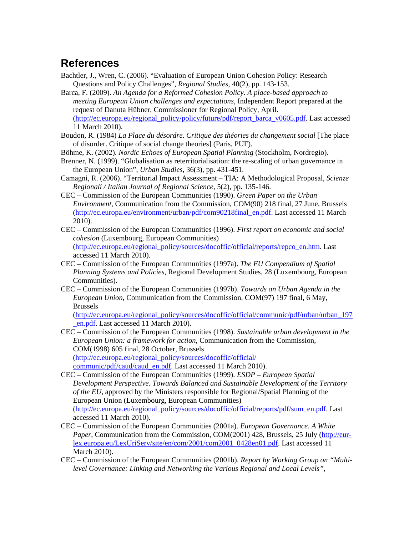# **References**

- Bachtler, J., Wren, C. (2006). "Evaluation of European Union Cohesion Policy: Research Questions and Policy Challenges", *Regional Studies*, 40(2), pp. 143-153.
- Barca, F. (2009). *An Agenda for a Reformed Cohesion Policy. A place-based approach to meeting European Union challenges and expectations*, Independent Report prepared at the request of Danuta Hübner, Commissioner for Regional Policy, April. (http://ec.europa.eu/regional\_policy/policy/future/pdf/report\_barca\_v0605.pdf. Last accessed 11 March 2010).
- Boudon, R. (1984) *La Place du désordre. Critique des théories du changement social* [The place of disorder. Critique of social change theories] (Paris, PUF).
- Böhme, K. (2002). *Nordic Echoes of European Spatial Planning* (Stockholm, Nordregio).
- Brenner, N. (1999). "Globalisation as reterritorialisation: the re-scaling of urban governance in the European Union", *Urban Studies*, 36(3), pp. 431-451.
- Camagni, R. (2006). "Territorial Impact Assessment TIA: A Methodological Proposal, *Scienze Regionali / Italian Journal of Regional Science*, 5(2), pp. 135-146.
- CEC Commission of the European Communities (1990). *Green Paper on the Urban Environment*, Communication from the Commission, COM(90) 218 final, 27 June, Brussels (http://ec.europa.eu/environment/urban/pdf/com90218final\_en.pdf. Last accessed 11 March 2010).
- CEC Commission of the European Communities (1996). *First report on economic and social cohesion* (Luxembourg, European Communities) (http://ec.europa.eu/regional\_policy/sources/docoffic/official/reports/repco\_en.htm. Last accessed 11 March 2010).
- CEC Commission of the European Communities (1997a). *The EU Compendium of Spatial Planning Systems and Policies*, Regional Development Studies, 28 (Luxembourg, European Communities).
- CEC Commission of the European Communities (1997b). *Towards an Urban Agenda in the European Union*, Communication from the Commission, COM(97) 197 final, 6 May, Brussels

(http://ec.europa.eu/regional\_policy/sources/docoffic/official/communic/pdf/urban/urban\_197 \_en.pdf. Last accessed 11 March 2010).

CEC – Commission of the European Communities (1998). *Sustainable urban development in the European Union: a framework for action*, Communication from the Commission, COM(1998) 605 final, 28 October, Brussels (http://ec.europa.eu/regional\_policy/sources/docoffic/official/ communic/pdf/caud/caud\_en.pdf. Last accessed 11 March 2010).

CEC – Commission of the European Communities (1999). *ESDP – European Spatial Development Perspective. Towards Balanced and Sustainable Development of the Territory of the EU*, approved by the Ministers responsible for Regional/Spatial Planning of the European Union (Luxembourg, European Communities) (http://ec.europa.eu/regional\_policy/sources/docoffic/official/reports/pdf/sum\_en.pdf. Last accessed 11 March 2010).

- CEC Commission of the European Communities (2001a). *European Governance. A White Paper*, Communication from the Commission, COM(2001) 428, Brussels, 25 July (http://eurlex.europa.eu/LexUriServ/site/en/com/2001/com2001\_0428en01.pdf. Last accessed 11 March 2010).
- CEC Commission of the European Communities (2001b). *Report by Working Group on "Multilevel Governance: Linking and Networking the Various Regional and Local Levels"*,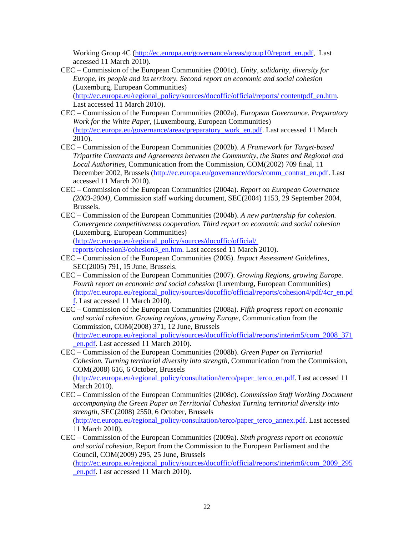Working Group 4C (http://ec.europa.eu/governance/areas/group10/report\_en.pdf, Last accessed 11 March 2010).

CEC – Commission of the European Communities (2001c). *Unity, solidarity, diversity for Europe, its people and its territory. Second report on economic and social cohesion* (Luxemburg, European Communities)

(http://ec.europa.eu/regional\_policy/sources/docoffic/official/reports/ contentpdf\_en.htm. Last accessed 11 March 2010).

- CEC Commission of the European Communities (2002a). *European Governance. Preparatory Work for the White Paper*, (Luxembourg, European Communities) (http://ec.europa.eu/governance/areas/preparatory\_work\_en.pdf. Last accessed 11 March 2010).
- CEC Commission of the European Communities (2002b). *A Framework for Target-based Tripartite Contracts and Agreements between the Community, the States and Regional and Local Authorities*, Communication from the Commission, COM(2002) 709 final, 11 December 2002, Brussels (http://ec.europa.eu/governance/docs/comm\_contrat\_en.pdf. Last accessed 11 March 2010).
- CEC Commission of the European Communities (2004a). *Report on European Governance (2003-2004)*, Commission staff working document, SEC(2004) 1153, 29 September 2004, Brussels.
- CEC Commission of the European Communities (2004b). *A new partnership for cohesion. Convergence competitiveness cooperation. Third report on economic and social cohesion* (Luxemburg, European Communities) (http://ec.europa.eu/regional\_policy/sources/docoffic/official/

reports/cohesion3/cohesion3\_en.htm. Last accessed 11 March 2010).

- CEC Commission of the European Communities (2005). *Impact Assessment Guidelines*, SEC(2005) 791, 15 June, Brussels.
- CEC Commission of the European Communities (2007). *Growing Regions, growing Europe. Fourth report on economic and social cohesion* (Luxemburg, European Communities) (http://ec.europa.eu/regional\_policy/sources/docoffic/official/reports/cohesion4/pdf/4cr\_en.pd f. Last accessed 11 March 2010).
- CEC Commission of the European Communities (2008a). *Fifth progress report on economic and social cohesion. Growing regions, growing Europe*, Communication from the Commission, COM(2008) 371, 12 June, Brussels (http://ec.europa.eu/regional\_policy/sources/docoffic/official/reports/interim5/com\_2008\_371 \_en.pdf. Last accessed 11 March 2010).

CEC – Commission of the European Communities (2008b). *Green Paper on Territorial Cohesion. Turning territorial diversity into strength*, Communication from the Commission, COM(2008) 616, 6 October, Brussels (http://ec.europa.eu/regional\_policy/consultation/terco/paper\_terco\_en.pdf. Last accessed 11

March 2010). CEC – Commission of the European Communities (2008c). *Commission Staff Working Document accompanying the Green Paper on Territorial Cohesion Turning territorial diversity into* 

*strength*, SEC(2008) 2550, 6 October, Brussels (http://ec.europa.eu/regional\_policy/consultation/terco/paper\_terco\_annex.pdf. Last accessed 11 March 2010).

CEC – Commission of the European Communities (2009a). *Sixth progress report on economic and social cohesion*, Report from the Commission to the European Parliament and the Council, COM(2009) 295, 25 June, Brussels

(http://ec.europa.eu/regional\_policy/sources/docoffic/official/reports/interim6/com\_2009\_295 \_en.pdf. Last accessed 11 March 2010).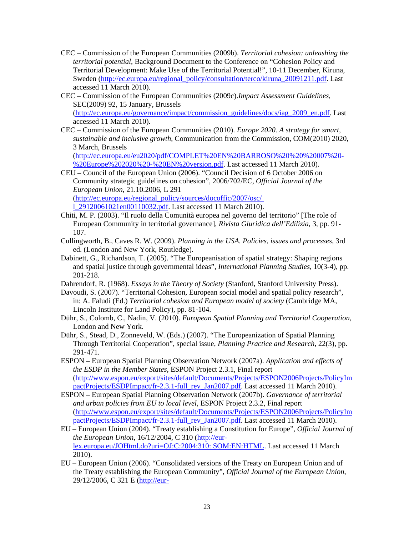- CEC Commission of the European Communities (2009b). *Territorial cohesion: unleashing the territorial potential*, Background Document to the Conference on "Cohesion Policy and Territorial Development: Make Use of the Territorial Potential!", 10-11 December, Kiruna, Sweden (http://ec.europa.eu/regional\_policy/consultation/terco/kiruna\_20091211.pdf. Last accessed 11 March 2010).
- CEC Commission of the European Communities (2009c).*Impact Assessment Guidelines*, SEC(2009) 92, 15 January, Brussels (http://ec.europa.eu/governance/impact/commission\_guidelines/docs/iag\_2009\_en.pdf. Last accessed 11 March 2010).
- CEC Commission of the European Communities (2010). *Europe 2020. A strategy for smart, sustainable and inclusive growth*, Communication from the Commission, COM(2010) 2020, 3 March, Brussels

(http://ec.europa.eu/eu2020/pdf/COMPLET%20EN%20BARROSO%20%20%20007%20- %20Europe%202020%20-%20EN%20version.pdf. Last accessed 11 March 2010).

- CEU Council of the European Union (2006). "Council Decision of 6 October 2006 on Community strategic guidelines on cohesion", 2006/702/EC, *Official Journal of the European Union*, 21.10.2006, L 291 (http://ec.europa.eu/regional\_policy/sources/docoffic/2007/osc/ l\_29120061021en00110032.pdf. Last accessed 11 March 2010).
- Chiti, M. P. (2003). "Il ruolo della Comunità europea nel governo del territorio" [The role of European Community in territorial governance], *Rivista Giuridica dell'Edilizia*, 3, pp. 91- 107.
- Cullingworth, B., Caves R. W. (2009). *Planning in the USA. Policies, issues and processes*, 3rd ed. (London and New York, Routledge).
- Dabinett, G., Richardson, T. (2005). "The Europeanisation of spatial strategy: Shaping regions and spatial justice through governmental ideas", *International Planning Studies*, 10(3-4), pp. 201-218.

Dahrendorf, R. (1968). *Essays in the Theory of Society* (Stanford, Stanford University Press).

- Davoudi, S. (2007). "Territorial Cohesion, European social model and spatial policy research", in: A. Faludi (Ed.) *Territorial cohesion and European model of society* (Cambridge MA, Lincoln Institute for Land Policy), pp. 81-104.
- Dühr, S., Colomb, C., Nadin, V. (2010). *European Spatial Planning and Territorial Cooperation*, London and New York.
- Dühr, S., Stead, D., Zonneveld, W. (Eds.) (2007). "The Europeanization of Spatial Planning Through Territorial Cooperation", special issue, *Planning Practice and Research*, 22(3), pp. 291-471.
- ESPON European Spatial Planning Observation Network (2007a). *Application and effects of the ESDP in the Member States*, ESPON Project 2.3.1, Final report (http://www.espon.eu/export/sites/default/Documents/Projects/ESPON2006Projects/PolicyIm pactProjects/ESDPImpact/fr-2.3.1-full\_rev\_Jan2007.pdf. Last accessed 11 March 2010).
- ESPON European Spatial Planning Observation Network (2007b). *Governance of territorial and urban policies from EU to local level*, ESPON Project 2.3.2, Final report (http://www.espon.eu/export/sites/default/Documents/Projects/ESPON2006Projects/PolicyIm pactProjects/ESDPImpact/fr-2.3.1-full\_rev\_Jan2007.pdf. Last accessed 11 March 2010).
- EU European Union (2004). "Treaty establishing a Constitution for Europe", *Official Journal of the European Union*, 16/12/2004, C 310 (http://eurlex.europa.eu/JOHtml.do?uri=OJ:C:2004:310: SOM:EN:HTML. Last accessed 11 March 2010).
- EU European Union (2006). "Consolidated versions of the Treaty on European Union and of the Treaty establishing the European Community", *Official Journal of the European Union*, 29/12/2006, C 321 E (http://eur-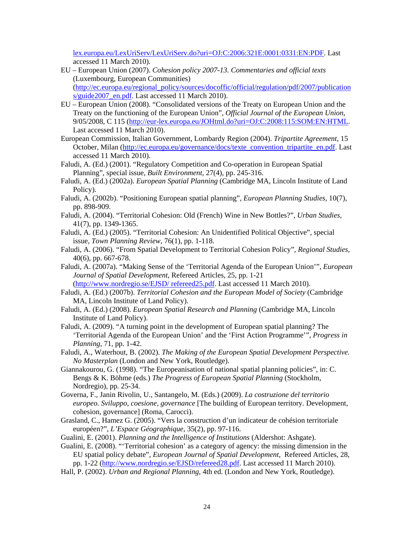lex.europa.eu/LexUriServ/LexUriServ.do?uri=OJ:C:2006:321E:0001:0331:EN:PDF. Last accessed 11 March 2010).

- EU European Union (2007). *Cohesion policy 2007-13. Commentaries and official texts* (Luxembourg, European Communities) (http://ec.europa.eu/regional\_policy/sources/docoffic/official/regulation/pdf/2007/publication s/guide2007 en.pdf. Last accessed 11 March 2010).
- EU European Union (2008). "Consolidated versions of the Treaty on European Union and the Treaty on the functioning of the European Union", *Official Journal of the European Union*, 9/05/2008, C 115 (http://eur-lex.europa.eu/JOHtml.do?uri=OJ:C:2008:115:SOM:EN:HTML. Last accessed 11 March 2010).
- European Commission, Italian Government, Lombardy Region (2004). *Tripartite Agreement*, 15 October, Milan (http://ec.europa.eu/governance/docs/texte\_convention\_tripartite\_en.pdf. Last accessed 11 March 2010).
- Faludi, A. (Ed.) (2001). "Regulatory Competition and Co-operation in European Spatial Planning", special issue, *Built Environment*, 27(4), pp. 245-316.
- Faludi, A. (Ed.) (2002a). *European Spatial Planning* (Cambridge MA, Lincoln Institute of Land Policy).
- Faludi, A. (2002b). "Positioning European spatial planning", *European Planning Studies*, 10(7), pp. 898-909.
- Faludi, A. (2004). "Territorial Cohesion: Old (French) Wine in New Bottles?", *Urban Studies*, 41(7), pp. 1349-1365.
- Faludi, A. (Ed.) (2005). "Territorial Cohesion: An Unidentified Political Objective", special issue, *Town Planning Review*, 76(1), pp. 1-118.
- Faludi, A. (2006). "From Spatial Development to Territorial Cohesion Policy", *Regional Studies*, 40(6), pp. 667-678.
- Faludi, A. (2007a). "Making Sense of the 'Territorial Agenda of the European Union'", *European Journal of Spatial Development*, Refereed Articles, 25, pp. 1-21 (http://www.nordregio.se/EJSD/ refereed25.pdf. Last accessed 11 March 2010).
- Faludi, A. (Ed.) (2007b). *Territorial Cohesion and the European Model of Society* (Cambridge MA, Lincoln Institute of Land Policy).
- Faludi, A. (Ed.) (2008). *European Spatial Research and Planning* (Cambridge MA, Lincoln Institute of Land Policy).
- Faludi, A. (2009). "A turning point in the development of European spatial planning? The 'Territorial Agenda of the European Union' and the 'First Action Programme'", *Progress in Planning*, 71, pp. 1-42.
- Faludi, A., Waterhout, B. (2002). *The Making of the European Spatial Development Perspective. No Masterplan* (London and New York, Routledge).
- Giannakourou, G. (1998). "The Europeanisation of national spatial planning policies", in: C. Bengs & K. Böhme (eds.) *The Progress of European Spatial Planning* (Stockholm, Nordregio), pp. 25-34.
- Governa, F., Janin Rivolin, U., Santangelo, M. (Eds.) (2009). *La costruzione del territorio europeo. Sviluppo, coesione, governance* [The building of European territory. Development, cohesion, governance] (Roma, Carocci).
- Grasland, C., Hamez G. (2005). "Vers la construction d'un indicateur de cohésion territoriale européen?", *L'Espace Géographique*, 35(2), pp. 97-116.
- Gualini, E. (2001). *Planning and the Intelligence of Institutions* (Aldershot: Ashgate).
- Gualini, E. (2008). "'Territorial cohesion' as a category of agency: the missing dimension in the EU spatial policy debate", *European Journal of Spatial Development*, Refereed Articles, 28, pp. 1-22 (http://www.nordregio.se/EJSD/refereed28.pdf. Last accessed 11 March 2010).
- Hall, P. (2002). *Urban and Regional Planning*, 4th ed. (London and New York, Routledge).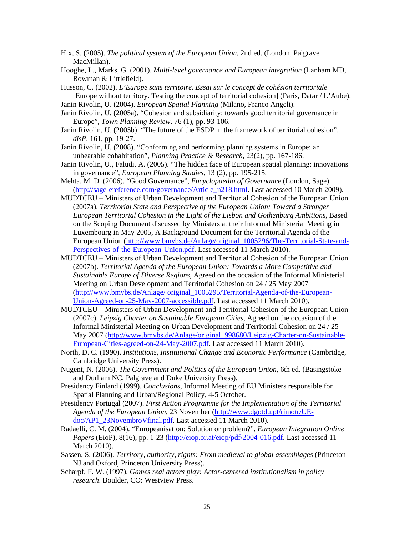- Hix, S. (2005). *The political system of the European Union*, 2nd ed. (London, Palgrave MacMillan).
- Hooghe, L., Marks, G. (2001). *Multi-level governance and European integration* (Lanham MD, Rowman & Littlefield).
- Husson, C. (2002). *L'Europe sans territoire. Essai sur le concept de cohésion territoriale* [Europe without territory. Testing the concept of territorial cohesion] (Paris, Datar / L'Aube).
- Janin Rivolin, U. (2004). *European Spatial Planning* (Milano, Franco Angeli).
- Janin Rivolin, U. (2005a). "Cohesion and subsidiarity: towards good territorial governance in Europe", *Town Planning Review*, 76 (1), pp. 93-106.
- Janin Rivolin, U. (2005b). "The future of the ESDP in the framework of territorial cohesion", *disP*, 161, pp. 19-27.
- Janin Rivolin, U. (2008). "Conforming and performing planning systems in Europe: an unbearable cohabitation", *Planning Practice & Research*, 23(2), pp. 167-186.
- Janin Rivolin, U., Faludi, A. (2005). "The hidden face of European spatial planning: innovations in governance", *European Planning Studies*, 13 (2), pp. 195-215.
- Mehta, M. D. (2006). "Good Governance", *Encyclopaedia of Governance* (London, Sage) (http://sage-ereference.com/governance/Article\_n218.html. Last accessed 10 March 2009).
- MUDTCEU Ministers of Urban Development and Territorial Cohesion of the European Union (2007a). *Territorial State and Perspective of the European Union: Toward a Stronger European Territorial Cohesion in the Light of the Lisbon and Gothenburg Ambitions*, Based on the Scoping Document discussed by Ministers at their Informal Ministerial Meeting in Luxembourg in May 2005, A Background Document for the Territorial Agenda of the European Union (http://www.bmvbs.de/Anlage/original\_1005296/The-Territorial-State-and-Perspectives-of-the-European-Union.pdf. Last accessed 11 March 2010).
- MUDTCEU Ministers of Urban Development and Territorial Cohesion of the European Union (2007b). *Territorial Agenda of the European Union: Towards a More Competitive and Sustainable Europe of Diverse Regions*, Agreed on the occasion of the Informal Ministerial Meeting on Urban Development and Territorial Cohesion on 24 / 25 May 2007 (http://www.bmvbs.de/Anlage/ original\_1005295/Territorial-Agenda-of-the-European-Union-Agreed-on-25-May-2007-accessible.pdf. Last accessed 11 March 2010).
- MUDTCEU Ministers of Urban Development and Territorial Cohesion of the European Union (2007c). *Leipzig Charter on Sustainable European Cities*, Agreed on the occasion of the Informal Ministerial Meeting on Urban Development and Territorial Cohesion on 24 / 25 May 2007 (http://www.bmvbs.de/Anlage/original\_998680/Leipzig-Charter-on-Sustainable-European-Cities-agreed-on-24-May-2007.pdf. Last accessed 11 March 2010).
- North, D. C. (1990). *Institutions, Institutional Change and Economic Performance* (Cambridge, Cambridge University Press).
- Nugent, N. (2006). *The Government and Politics of the European Union*, 6th ed. (Basingstoke and Durham NC, Palgrave and Duke University Press).
- Presidency Finland (1999). *Conclusions*, Informal Meeting of EU Ministers responsible for Spatial Planning and Urban/Regional Policy, 4-5 October.
- Presidency Portugal (2007). *First Action Programme for the Implementation of the Territorial Agenda of the European Union*, 23 November (http://www.dgotdu.pt/rimotr/UEdoc/AP1\_23NovembroVfinal.pdf. Last accessed 11 March 2010).
- Radaelli, C. M. (2004). "Europeanisation: Solution or problem?", *European Integration Online Papers* (EioP), 8(16), pp. 1-23 (http://eiop.or.at/eiop/pdf/2004-016.pdf. Last accessed 11 March 2010).
- Sassen, S. (2006). *Territory, authority, rights: From medieval to global assemblages* (Princeton NJ and Oxford, Princeton University Press).
- Scharpf, F. W. (1997). *Games real actors play: Actor-centered institutionalism in policy research*. Boulder, CO: Westview Press.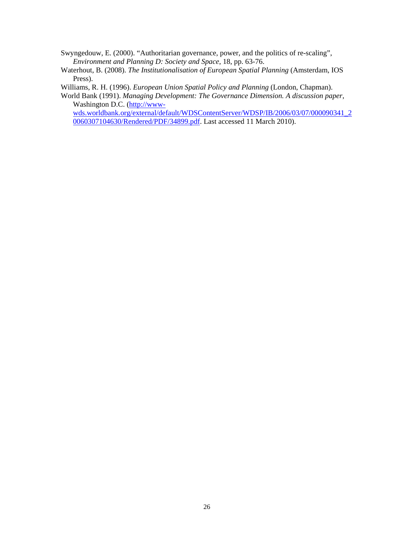Swyngedouw, E. (2000). "Authoritarian governance, power, and the politics of re-scaling", *Environment and Planning D: Society and Space*, 18, pp. 63-76.

Waterhout, B. (2008). *The Institutionalisation of European Spatial Planning* (Amsterdam, IOS Press).

Williams, R. H. (1996). *European Union Spatial Policy and Planning* (London, Chapman).

World Bank (1991). *Managing Development: The Governance Dimension. A discussion paper*, Washington D.C. (http://www-

wds.worldbank.org/external/default/WDSContentServer/WDSP/IB/2006/03/07/000090341\_2 0060307104630/Rendered/PDF/34899.pdf. Last accessed 11 March 2010).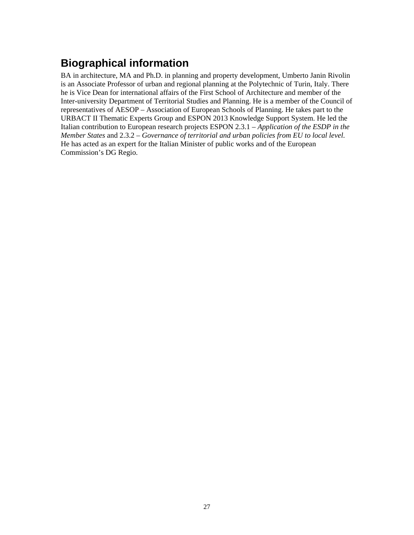# **Biographical information**

BA in architecture, MA and Ph.D. in planning and property development, Umberto Janin Rivolin is an Associate Professor of urban and regional planning at the Polytechnic of Turin, Italy. There he is Vice Dean for international affairs of the First School of Architecture and member of the Inter-university Department of Territorial Studies and Planning. He is a member of the Council of representatives of AESOP – Association of European Schools of Planning. He takes part to the URBACT II Thematic Experts Group and ESPON 2013 Knowledge Support System. He led the Italian contribution to European research projects ESPON 2.3.1 – *Application of the ESDP in the Member States* and 2.3.2 – *Governance of territorial and urban policies from EU to local level*. He has acted as an expert for the Italian Minister of public works and of the European Commission's DG Regio.